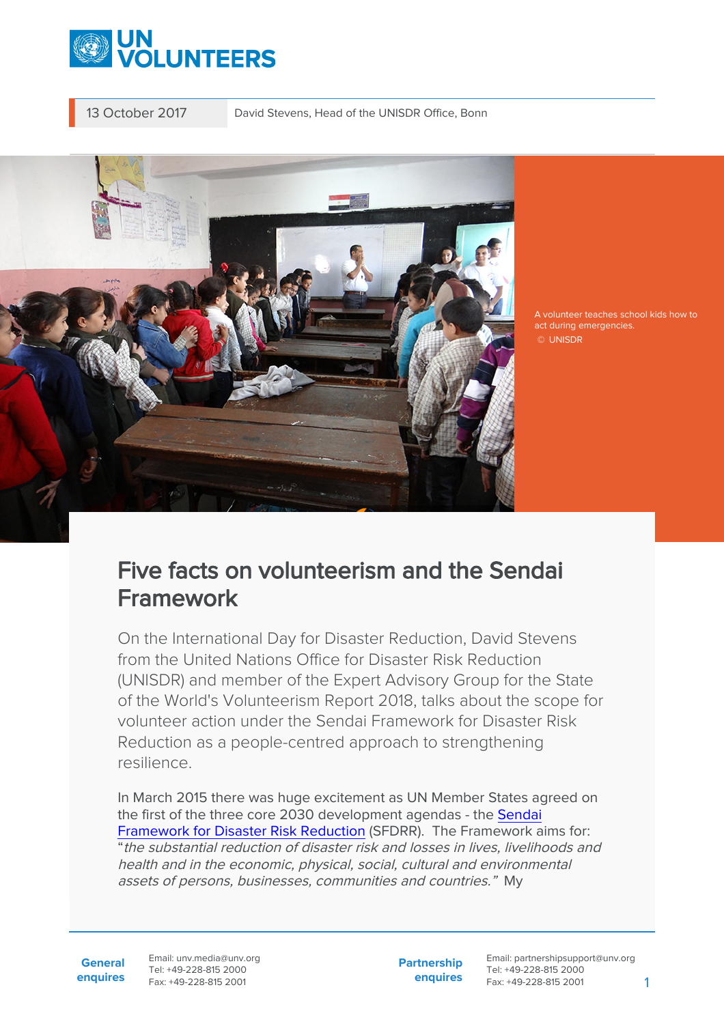

13 October 2017 David Stevens, Head of the UNISDR Office, Bonn



A volunteer teaches school kids how to act during emergencies. © UNISDR

# Five facts on volunteerism and the Sendai Framework

On the International Day for Disaster Reduction, David Stevens from the United Nations Office for Disaster Risk Reduction (UNISDR) and member of the Expert Advisory Group for the State of the World's Volunteerism Report 2018, talks about the scope for volunteer action under the Sendai Framework for Disaster Risk Reduction as a people-centred approach to strengthening resilience.

In March 2015 there was huge excitement as UN Member States agreed on the first of the three core 2030 development agendas - the [Sendai](https://www.unisdr.org/we/coordinate/sendai-framework) [Framework for Disaster Risk Reduction](https://www.unisdr.org/we/coordinate/sendai-framework) (SFDRR). The Framework aims for: "the substantial reduction of disaster risk and losses in lives, livelihoods and health and in the economic, physical, social, cultural and environmental assets of persons, businesses, communities and countries." My

**General enquires** Email: unv.media@unv.org Tel: +49-228-815 2000 Fax: +49-228-815 2001

**Partnership enquires**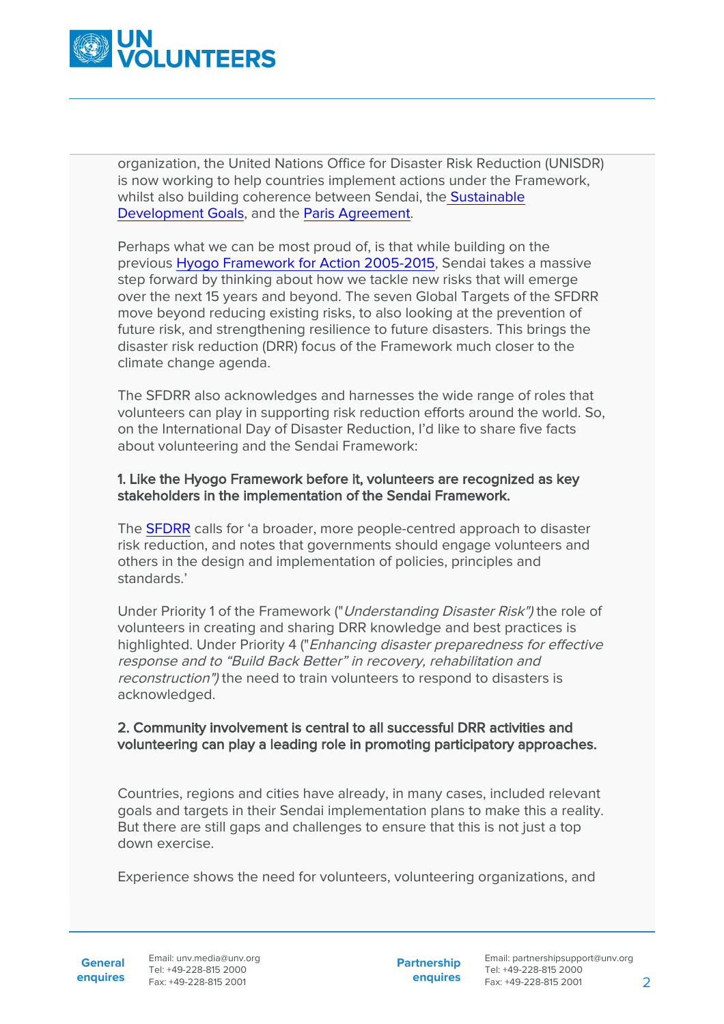

organization, the United Nations Office for Disaster Risk Reduction (UNISDR) is now working to help countries implement actions under the Framework, whilst also building coherence between Sendai, th[e Sustainable](http://www.un.org/sustainabledevelopment/sustainable-development-goals/) [Development Goals](http://www.un.org/sustainabledevelopment/sustainable-development-goals/), and the [Paris Agreement.](https://unfccc.int/paris_agreement/items/9485.php)

Perhaps what we can be most proud of, is that while building on the previous [Hyogo Framework for Action 2005-2015](https://www.unisdr.org/we/coordinate/hfa), Sendai takes a massive step forward by thinking about how we tackle new risks that will emerge over the next 15 years and beyond. The seven Global Targets of the SFDRR move beyond reducing existing risks, to also looking at the prevention of future risk, and strengthening resilience to future disasters. This brings the disaster risk reduction (DRR) focus of the Framework much closer to the climate change agenda.

The SFDRR also acknowledges and harnesses the wide range of roles that volunteers can play in supporting risk reduction efforts around the world. So, on the International Day of Disaster Reduction, I'd like to share five facts about volunteering and the Sendai Framework:

#### 1. Like the Hyogo Framework before it, volunteers are recognized as key stakeholders in the implementation of the Sendai Framework.

The [SFDRR](https://www.unisdr.org/we/inform/publications/43291) calls for 'a broader, more people-centred approach to disaster risk reduction, and notes that governments should engage volunteers and others in the design and implementation of policies, principles and standards.'

Under Priority 1 of the Framework ("Understanding Disaster Risk") the role of volunteers in creating and sharing DRR knowledge and best practices is highlighted. Under Priority 4 ("Enhancing disaster preparedness for effective response and to "Build Back Better" in recovery, rehabilitation and reconstruction") the need to train volunteers to respond to disasters is acknowledged.

## 2. Community involvement is central to all successful DRR activities and volunteering can play a leading role in promoting participatory approaches.

Countries, regions and cities have already, in many cases, included relevant goals and targets in their Sendai implementation plans to make this a reality. But there are still gaps and challenges to ensure that this is not just a top down exercise.

Experience shows the need for volunteers, volunteering organizations, and

General Email: unv.media@unv.org **enquires** Fax: +49-228-815 2001 Tel: +49-228-815 2000

**Partnership enquires**

Email: partnershipsupport@unv.org Tel: +49-228-815 2000 Fax: +49-228-815 2001 2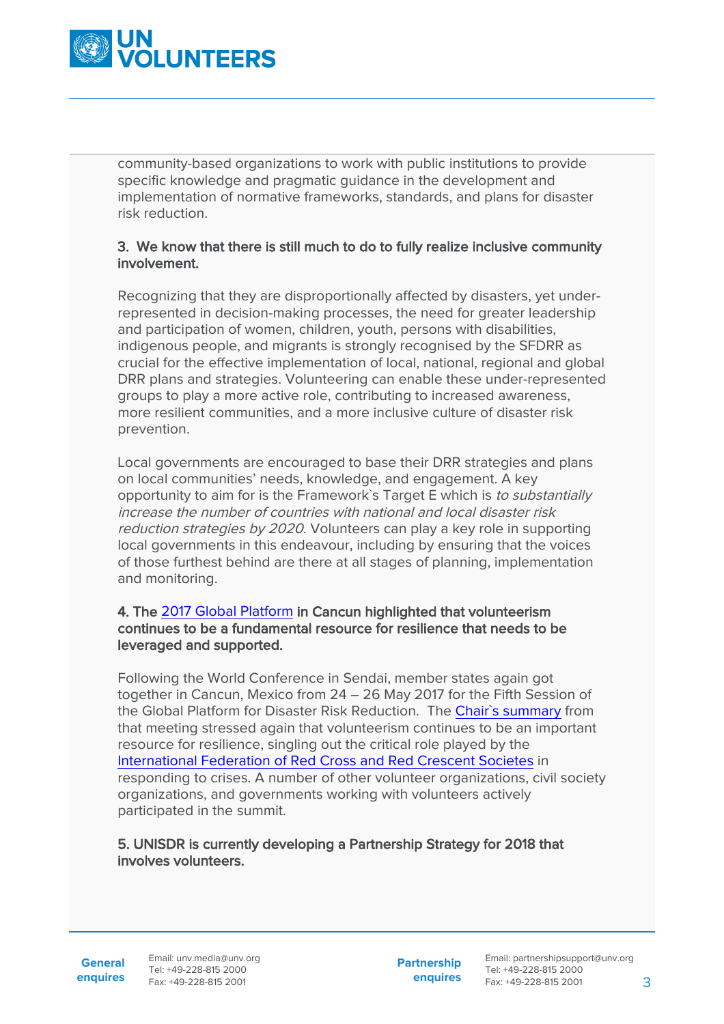

community-based organizations to work with public institutions to provide specific knowledge and pragmatic guidance in the development and implementation of normative frameworks, standards, and plans for disaster risk reduction.

## 3. We know that there is still much to do to fully realize inclusive community involvement.

Recognizing that they are disproportionally affected by disasters, yet underrepresented in decision-making processes, the need for greater leadership and participation of women, children, youth, persons with disabilities, indigenous people, and migrants is strongly recognised by the SFDRR as crucial for the effective implementation of local, national, regional and global DRR plans and strategies. Volunteering can enable these under-represented groups to play a more active role, contributing to increased awareness, more resilient communities, and a more inclusive culture of disaster risk prevention.

Local governments are encouraged to base their DRR strategies and plans on local communities' needs, knowledge, and engagement. A key opportunity to aim for is the Framework's Target E which is to substantially increase the number of countries with national and local disaster risk reduction strategies by 2020. Volunteers can play a key role in supporting local governments in this endeavour, including by ensuring that the voices of those furthest behind are there at all stages of planning, implementation and monitoring.

## 4. The [2017 Global Platform](https://www.unisdr.org/conferences/2017/globalplatform/en) in Cancun highlighted that volunteerism continues to be a fundamental resource for resilience that needs to be leveraged and supported.

Following the World Conference in Sendai, member states again got together in Cancun, Mexico from 24 – 26 May 2017 for the Fifth Session of the Global Platform for Disaster Risk Reduction. The [Chair`s summary](https://www.preventionweb.net/publications/view/53989) from that meeting stressed again that volunteerism continues to be an important resource for resilience, singling out the critical role played by the [International Federation of Red Cross and Red Crescent Societes](https://www.ifrc.org/) in responding to crises. A number of other volunteer organizations, civil society organizations, and governments working with volunteers actively participated in the summit.

## 5. UNISDR is currently developing a Partnership Strategy for 2018 that involves volunteers.

**General**

**enquires** Tel: +49-228-815 2000 Fax: +49-228-815 2001 Email: unv.media@unv.org<br>Tel: +49-228-815.2000

**Partnership enquires**

Email: partnershipsupport@unv.org Tel: +49-228-815 2000 Fax: +49-228-815 2001 3